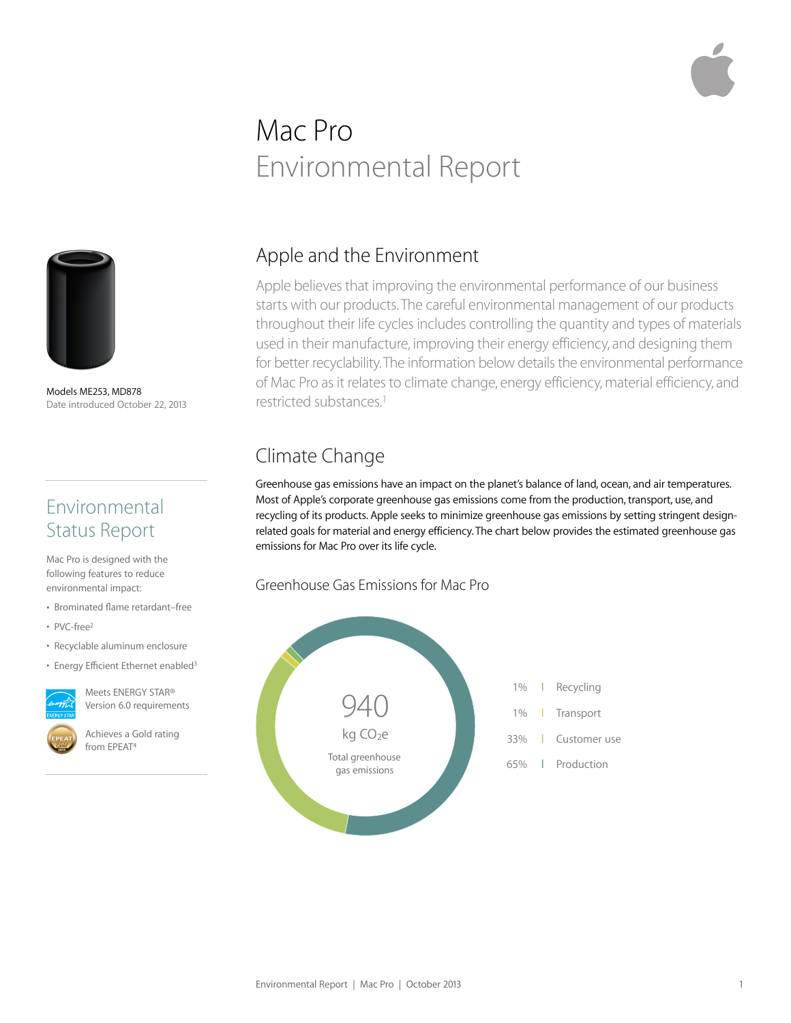# Mac Pro Environmental Report



Models ME253, MD878 Date introduced October 22, 2013

# Environmental Status Report

Mac Pro is designed with the following features to reduce environmental impact:

- Brominated flame retardant–free
- PVC-free2
- Recyclable aluminum enclosure
- Energy Efficient Ethernet enabled<sup>3</sup>



Meets ENERGY STAR® Version 6.0 requirements

Achieves a Gold rating from EPEAT4

# Apple and the Environment

Apple believes that improving the environmental performance of our business starts with our products. The careful environmental management of our products throughout their life cycles includes controlling the quantity and types of materials used in their manufacture, improving their energy efficiency, and designing them for better recyclability. The information below details the environmental performance of Mac Pro as it relates to climate change, energy efficiency, material efficiency, and restricted substances.1

# Climate Change

Greenhouse gas emissions have an impact on the planet's balance of land, ocean, and air temperatures. Most of Apple's corporate greenhouse gas emissions come from the production, transport, use, and recycling of its products. Apple seeks to minimize greenhouse gas emissions by setting stringent designrelated goals for material and energy efficiency. The chart below provides the estimated greenhouse gas emissions for Mac Pro over its life cycle.

#### Greenhouse Gas Emissions for Mac Pro

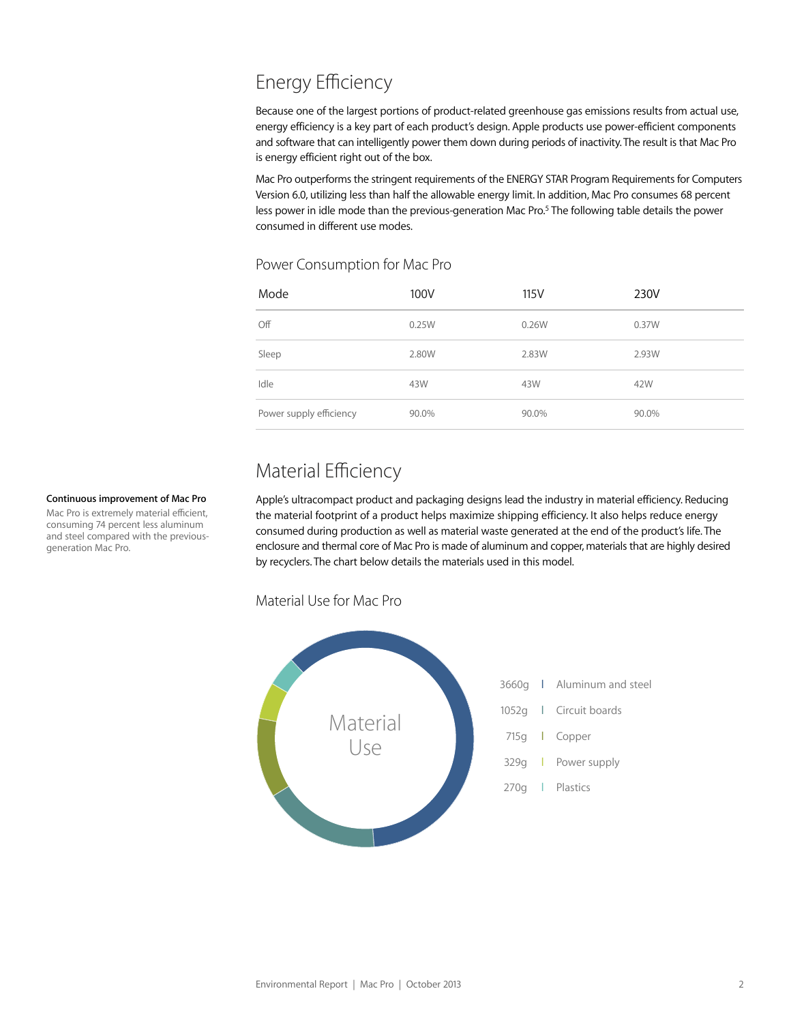# Energy Efficiency

Because one of the largest portions of product-related greenhouse gas emissions results from actual use, energy efficiency is a key part of each product's design. Apple products use power-efficient components and software that can intelligently power them down during periods of inactivity. The result is that Mac Pro is energy efficient right out of the box.

Mac Pro outperforms the stringent requirements of the ENERGY STAR Program Requirements for Computers Version 6.0, utilizing less than half the allowable energy limit. In addition, Mac Pro consumes 68 percent less power in idle mode than the previous-generation Mac Pro.<sup>5</sup> The following table details the power consumed in different use modes.

#### Power Consumption for Mac Pro

| Mode                    | 100V  | 115V  | 230V  |
|-------------------------|-------|-------|-------|
| Off                     | 0.25W | 0.26W | 0.37W |
| Sleep                   | 2.80W | 2.83W | 2.93W |
| Idle                    | 43W   | 43W   | 42W   |
| Power supply efficiency | 90.0% | 90.0% | 90.0% |

# Material Efficiency

Apple's ultracompact product and packaging designs lead the industry in material efficiency. Reducing the material footprint of a product helps maximize shipping efficiency. It also helps reduce energy consumed during production as well as material waste generated at the end of the product's life. The enclosure and thermal core of Mac Pro is made of aluminum and copper, materials that are highly desired by recyclers. The chart below details the materials used in this model.

#### Material Use for Mac Pro



#### **Continuous improvement of Mac Pro**

Mac Pro is extremely material efficient, consuming 74 percent less aluminum and steel compared with the previousgeneration Mac Pro.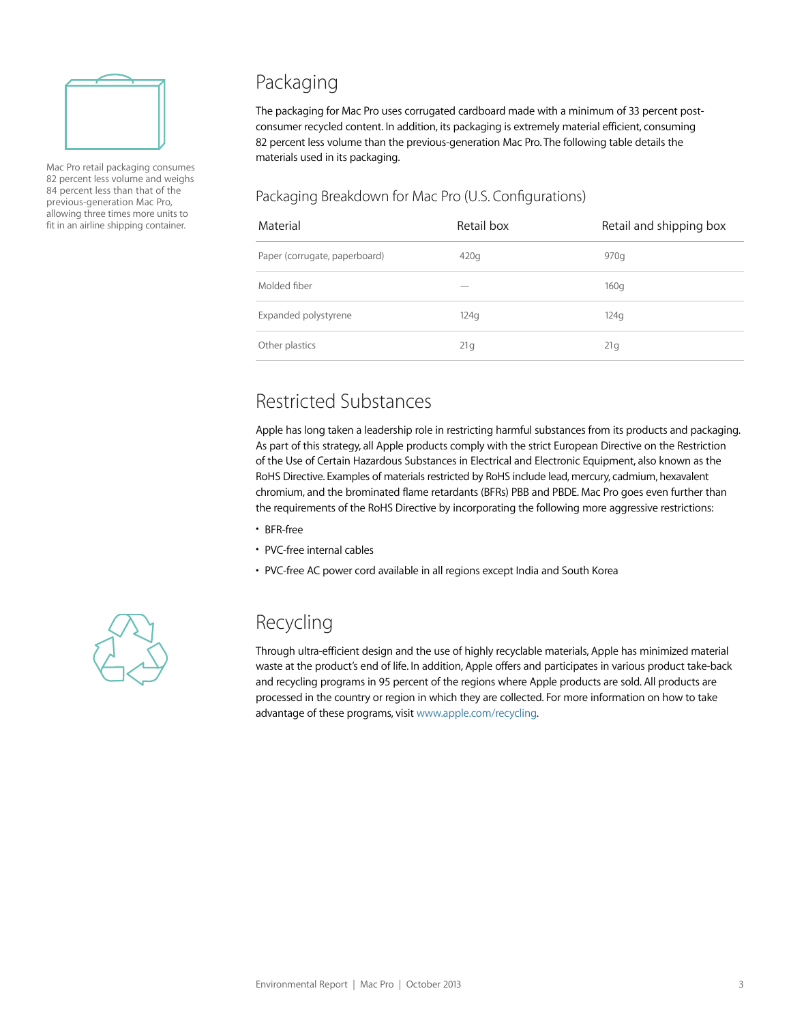

Mac Pro retail packaging consumes 82 percent less volume and weighs 84 percent less than that of the previous-generation Mac Pro, allowing three times more units to fit in an airline shipping container.

# Packaging

The packaging for Mac Pro uses corrugated cardboard made with a minimum of 33 percent postconsumer recycled content. In addition, its packaging is extremely material efficient, consuming 82 percent less volume than the previous-generation Mac Pro. The following table details the materials used in its packaging.

#### Packaging Breakdown for Mac Pro (U.S. Configurations)

| Material                      | Retail box | Retail and shipping box |
|-------------------------------|------------|-------------------------|
| Paper (corrugate, paperboard) | 420g       | 970q                    |
| Molded fiber                  |            | 160q                    |
| Expanded polystyrene          | 124q       | 124q                    |
| Other plastics                | 21g        | 21g                     |

# Restricted Substances

Apple has long taken a leadership role in restricting harmful substances from its products and packaging. As part of this strategy, all Apple products comply with the strict European Directive on the Restriction of the Use of Certain Hazardous Substances in Electrical and Electronic Equipment, also known as the RoHS Directive. Examples of materials restricted by RoHS include lead, mercury, cadmium, hexavalent chromium, and the brominated flame retardants (BFRs) PBB and PBDE. Mac Pro goes even further than the requirements of the RoHS Directive by incorporating the following more aggressive restrictions:

- BFR-free
- PVC-free internal cables
- PVC-free AC power cord available in all regions except India and South Korea



# Recycling

Through ultra-efficient design and the use of highly recyclable materials, Apple has minimized material waste at the product's end of life. In addition, Apple offers and participates in various product take-back and recycling programs in 95 percent of the regions where Apple products are sold. All products are processed in the country or region in which they are collected. For more information on how to take advantage of these programs, visit [www.apple.com/recycling](http://www.apple.com/recycling).